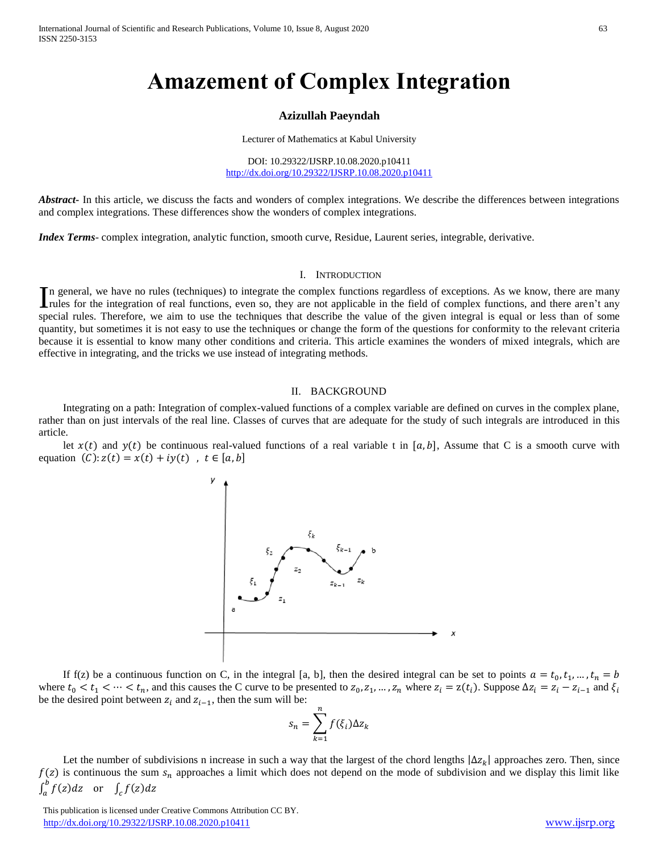# **Amazement of Complex Integration**

### **Azizullah Paeyndah**

Lecturer of Mathematics at Kabul University

DOI: 10.29322/IJSRP.10.08.2020.p10411 <http://dx.doi.org/10.29322/IJSRP.10.08.2020.p10411>

Abstract<sub>ri</sub> In this article, we discuss the facts and wonders of complex integrations. We describe the differences between integrations and complex integrations. These differences show the wonders of complex integrations.

*Index Terms*- complex integration, analytic function, smooth curve, Residue, Laurent series, integrable, derivative.

#### I. INTRODUCTION

n general, we have no rules (techniques) to integrate the complex functions regardless of exceptions. As we know, there are many In general, we have no rules (techniques) to integrate the complex functions regardless of exceptions. As we know, there are many rules for the field of complex functions, and there aren't any multiple in the field of comp special rules. Therefore, we aim to use the techniques that describe the value of the given integral is equal or less than of some quantity, but sometimes it is not easy to use the techniques or change the form of the questions for conformity to the relevant criteria because it is essential to know many other conditions and criteria. This article examines the wonders of mixed integrals, which are effective in integrating, and the tricks we use instead of integrating methods.

#### II. BACKGROUND

Integrating on a path: Integration of complex-valued functions of a complex variable are defined on curves in the complex plane, rather than on just intervals of the real line. Classes of curves that are adequate for the study of such integrals are introduced in this article.

let  $x(t)$  and  $y(t)$  be continuous real-valued functions of a real variable t in [a, b]. Assume that C is a smooth curve with equation  $(C): z(t) = x(t) + iy(t)$ ,  $t \in [a, b]$ 



If f(z) be a continuous function on C, in the integral [a, b], then the desired integral can be set to points  $a = t_0, t_1, ..., t_n = b$ where  $t_0 < t_1 < \cdots < t_n$ , and this causes the C curve to be presented to  $z_0, z_1, ..., z_n$  where  $z_i = z(t_i)$ . Suppose  $\Delta z_i = z_i - z_{i-1}$  and  $\xi_i$ be the desired point between  $z_i$  and  $z_{i-1}$ , then the sum will be:

$$
s_n = \sum_{k=1}^n f(\xi_i) \Delta z_k
$$

Let the number of subdivisions n increase in such a way that the largest of the chord lengths  $|\Delta z_k|$  approaches zero. Then, since  $f(z)$  is continuous the sum  $s_n$  approaches a limit which does not depend on the mode of subdivision and we display this limit like  $\int_a^b f(z) dz$  or  $\int_a^b f(z)dz$  or  $\int_c f(z)dz$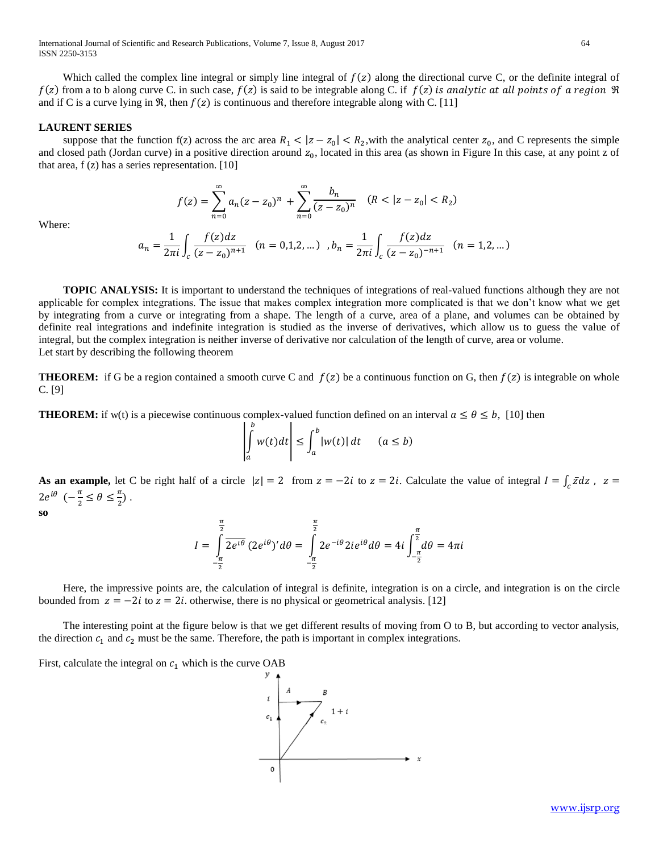International Journal of Scientific and Research Publications, Volume 7, Issue 8, August 2017 64 ISSN 2250-3153

Which called the complex line integral or simply line integral of  $f(z)$  along the directional curve C, or the definite integral of  $f(z)$  from a to b along curve C, in such case,  $f(z)$  is said to be integrable along C, if  $f(z)$  is analytic at all points of a region  $\Re$ and if C is a curve lying in  $\mathfrak{R}$ , then  $f(z)$  is continuous and therefore integrable along with C. [11]

## **LAURENT SERIES**

suppose that the function f(z) across the arc area  $R_1 < |z - z_0| < R_2$ , with the analytical center  $z_0$ , and C represents the simple and closed path (Jordan curve) in a positive direction around  $z_0$ , located in this area (as shown in Figure In this case, at any point z of that area,  $f(z)$  has a series representation. [10]

$$
f(z) = \sum_{n=0}^{\infty} a_n (z - z_0)^n + \sum_{n=0}^{\infty} \frac{b_n}{(z - z_0)^n} \quad (R < |z - z_0| < R_2)
$$

Where:

$$
a_n=\frac{1}{2\pi i}\int_c\frac{f(z)dz}{(z-z_0)^{n+1}}\quad (n=0,1,2,\dots)\quad ,\\ b_n=\frac{1}{2\pi i}\int_c\frac{f(z)dz}{(z-z_0)^{-n+1}}\quad (n=1,2,\dots)
$$

 **TOPIC ANALYSIS:** It is important to understand the techniques of integrations of real-valued functions although they are not applicable for complex integrations. The issue that makes complex integration more complicated is that we don't know what we get by integrating from a curve or integrating from a shape. The length of a curve, area of a plane, and volumes can be obtained by definite real integrations and indefinite integration is studied as the inverse of derivatives, which allow us to guess the value of integral, but the complex integration is neither inverse of derivative nor calculation of the length of curve, area or volume. Let start by describing the following theorem

**THEOREM:** if G be a region contained a smooth curve C and  $f(z)$  be a continuous function on G, then  $f(z)$  is integrable on whole C. [9]

**THEOREM:** if w(t) is a piecewise continuous complex-valued function defined on an interval  $a \le \theta \le b$ , [10] then

$$
\left|\int_a^b w(t)dt\right| \le \int_a^b |w(t)|\,dt \qquad (a \le b)
$$

As an example, let C be right half of a circle  $|z| = 2$  from  $z = -2i$  to  $z = 2i$ . Calculate the value of integral  $I = \int_c \bar{z} dz$ ,  $z =$  $2e^{i\theta}$   $\left(-\frac{\pi}{2}\right)$  $\frac{\pi}{2} \leq \theta \leq \frac{\pi}{2}$  $\frac{\pi}{2}$ ).

**so**

$$
I = \int_{-\frac{\pi}{2}}^{\frac{\pi}{2}} \overline{2e^{i\theta}} (2e^{i\theta})' d\theta = \int_{-\frac{\pi}{2}}^{\frac{\pi}{2}} 2e^{-i\theta} 2ie^{i\theta} d\theta = 4i \int_{-\frac{\pi}{2}}^{\frac{\pi}{2}} d\theta = 4\pi i
$$

Here, the impressive points are, the calculation of integral is definite, integration is on a circle, and integration is on the circle bounded from  $z = -2i$  to  $z = 2i$ , otherwise, there is no physical or geometrical analysis. [12]

The interesting point at the figure below is that we get different results of moving from O to B, but according to vector analysis, the direction  $c_1$  and  $c_2$  must be the same. Therefore, the path is important in complex integrations.

First, calculate the integral on  $c_1$  which is the curve OAB

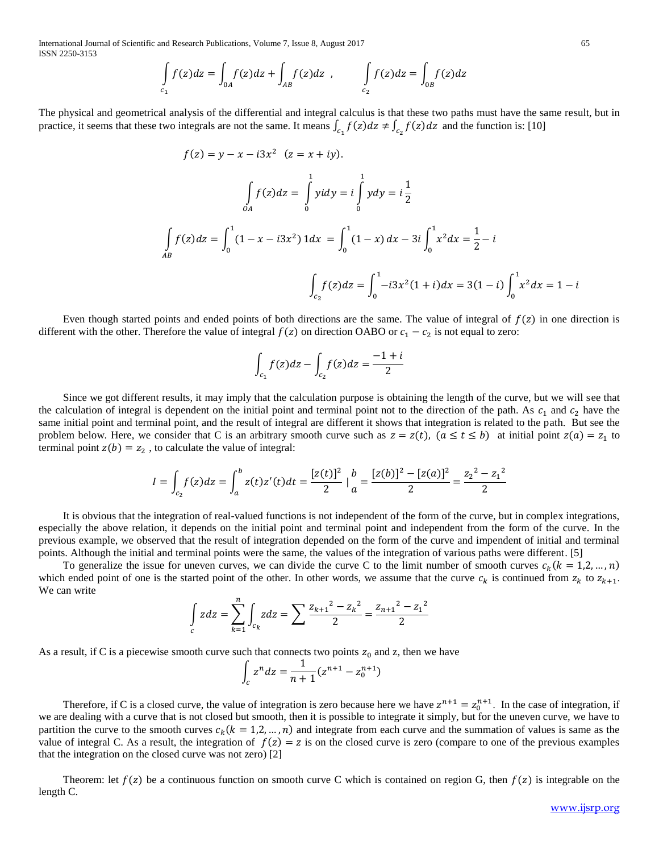International Journal of Scientific and Research Publications, Volume 7, Issue 8, August 2017 65 ISSN 2250-3153

$$
\int_{C_1} f(z)dz = \int_{0A} f(z)dz + \int_{AB} f(z)dz , \qquad \int_{C_2} f(z)dz = \int_{0B} f(z)dz
$$

The physical and geometrical analysis of the differential and integral calculus is that these two paths must have the same result, but in practice, it seems that these two integrals are not the same. It means  $\int_{c_1} f(z) dz \neq \int_{c_2} f(z) dz$  and the function is: [10]

$$
f(z) = y - x - i3x^{2} \quad (z = x + iy).
$$
\n
$$
\int_{OA} f(z)dz = \int_{0}^{1} ydy = i \int_{0}^{1} ydy = i \frac{1}{2}
$$
\n
$$
\int_{AB} f(z)dz = \int_{0}^{1} (1 - x - i3x^{2}) 1dx = \int_{0}^{1} (1 - x) dx - 3i \int_{0}^{1} x^{2}dx = \frac{1}{2} - i
$$
\n
$$
\int_{c_{2}} f(z)dz = \int_{0}^{1} -i3x^{2}(1+i)dx = 3(1-i) \int_{0}^{1} x^{2}dx = 1 - i
$$

Even though started points and ended points of both directions are the same. The value of integral of  $f(z)$  in one direction is different with the other. Therefore the value of integral  $f(z)$  on direction OABO or  $c_1 - c_2$  is not equal to zero:

$$
\int_{c_1} f(z)dz - \int_{c_2} f(z)dz = \frac{-1 + i}{2}
$$

Since we got different results, it may imply that the calculation purpose is obtaining the length of the curve, but we will see that the calculation of integral is dependent on the initial point and terminal point not to the direction of the path. As  $c_1$  and  $c_2$  have the same initial point and terminal point, and the result of integral are different it shows that integration is related to the path. But see the problem below. Here, we consider that C is an arbitrary smooth curve such as  $z = z(t)$ ,  $(a \le t \le b)$  at initial point  $z(a) = z<sub>1</sub>$  to terminal point  $z(b) = z_2$ , to calculate the value of integral:

$$
I = \int_{c_2} f(z)dz = \int_a^b z(t)z'(t)dt = \frac{[z(t)]^2}{2} \Big|_a^b = \frac{[z(b)]^2 - [z(a)]^2}{2} = \frac{z_2^2 - z_1^2}{2}
$$

It is obvious that the integration of real-valued functions is not independent of the form of the curve, but in complex integrations, especially the above relation, it depends on the initial point and terminal point and independent from the form of the curve. In the previous example, we observed that the result of integration depended on the form of the curve and impendent of initial and terminal points. Although the initial and terminal points were the same, the values of the integration of various paths were different. [5]

To generalize the issue for uneven curves, we can divide the curve C to the limit number of smooth curves  $c_k (k = 1, 2, ..., n)$ which ended point of one is the started point of the other. In other words, we assume that the curve  $c_k$  is continued from  $z_k$  to  $z_{k+1}$ . We can write

$$
\int_{c} zdz = \sum_{k=1}^{n} \int_{c_k} zdz = \sum \frac{z_{k+1}^{2} - z_k^{2}}{2} = \frac{z_{n+1}^{2} - z_1^{2}}{2}
$$

As a result, if C is a piecewise smooth curve such that connects two points  $z_0$  and z, then we have

$$
\int_{c} z^{n} dz = \frac{1}{n+1} (z^{n+1} - z_{0}^{n+1})
$$

Therefore, if C is a closed curve, the value of integration is zero because here we have  $z^{n+1} = z_0^{n+1}$ . In the case of integration, if we are dealing with a curve that is not closed but smooth, then it is possible to integrate it simply, but for the uneven curve, we have to partition the curve to the smooth curves  $c_k$  ( $k = 1, 2, ..., n$ ) and integrate from each curve and the summation of values is same as the value of integral C. As a result, the integration of  $f(z) = z$  is on the closed curve is zero (compare to one of the previous examples that the integration on the closed curve was not zero) [2]

Theorem: let  $f(z)$  be a continuous function on smooth curve C which is contained on region G, then  $f(z)$  is integrable on the length C.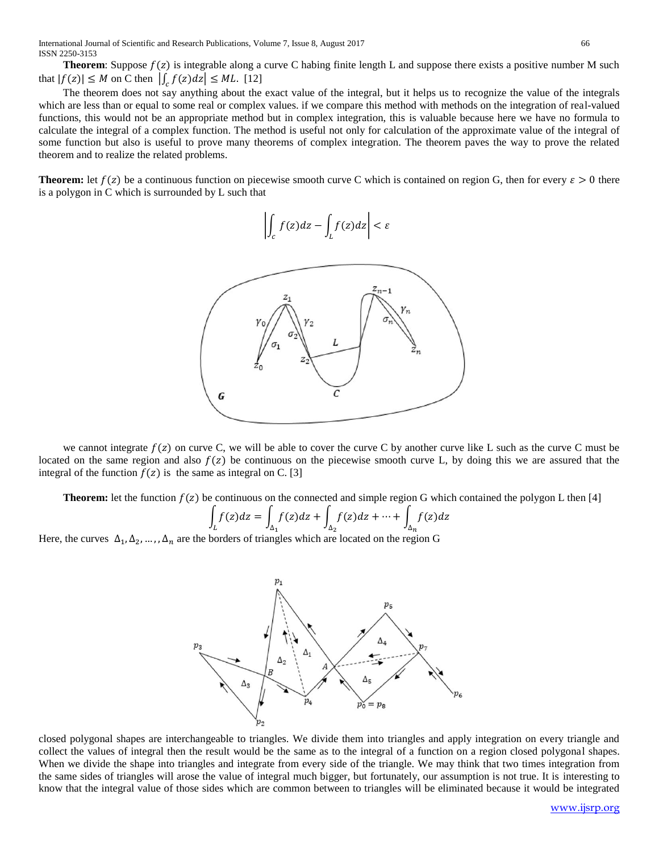International Journal of Scientific and Research Publications, Volume 7, Issue 8, August 2017 66 ISSN 2250-3153

**Theorem**: Suppose  $f(z)$  is integrable along a curve C habing finite length L and suppose there exists a positive number M such that  $|f(z)| \leq M$  on C then  $\left| \int_{c} f(z) dz \right| \leq M L$ . [12]

The theorem does not say anything about the exact value of the integral, but it helps us to recognize the value of the integrals which are less than or equal to some real or complex values. if we compare this method with methods on the integration of real-valued functions, this would not be an appropriate method but in complex integration, this is valuable because here we have no formula to calculate the integral of a complex function. The method is useful not only for calculation of the approximate value of the integral of some function but also is useful to prove many theorems of complex integration. The theorem paves the way to prove the related theorem and to realize the related problems.

**Theorem:** let  $f(z)$  be a continuous function on piecewise smooth curve C which is contained on region G, then for every  $\varepsilon > 0$  there is a polygon in C which is surrounded by L such that

$$
\left| \int_{c} f(z)dz - \int_{L} f(z)dz \right| < \varepsilon
$$



we cannot integrate  $f(z)$  on curve C, we will be able to cover the curve C by another curve like L such as the curve C must be located on the same region and also  $f(z)$  be continuous on the piecewise smooth curve L, by doing this we are assured that the integral of the function  $f(z)$  is the same as integral on C. [3]

**Theorem:** let the function  $f(z)$  be continuous on the connected and simple region G which contained the polygon L then [4]

$$
\int_{L} f(z)dz = \int_{\Delta_1} f(z)dz + \int_{\Delta_2} f(z)dz + \dots + \int_{\Delta_n} f(z)dz
$$

Here, the curves  $\Delta_1, \Delta_2, ..., \Delta_n$  are the borders of triangles which are located on the region G



closed polygonal shapes are interchangeable to triangles. We divide them into triangles and apply integration on every triangle and collect the values of integral then the result would be the same as to the integral of a function on a region closed polygonal shapes. When we divide the shape into triangles and integrate from every side of the triangle. We may think that two times integration from the same sides of triangles will arose the value of integral much bigger, but fortunately, our assumption is not true. It is interesting to know that the integral value of those sides which are common between to triangles will be eliminated because it would be integrated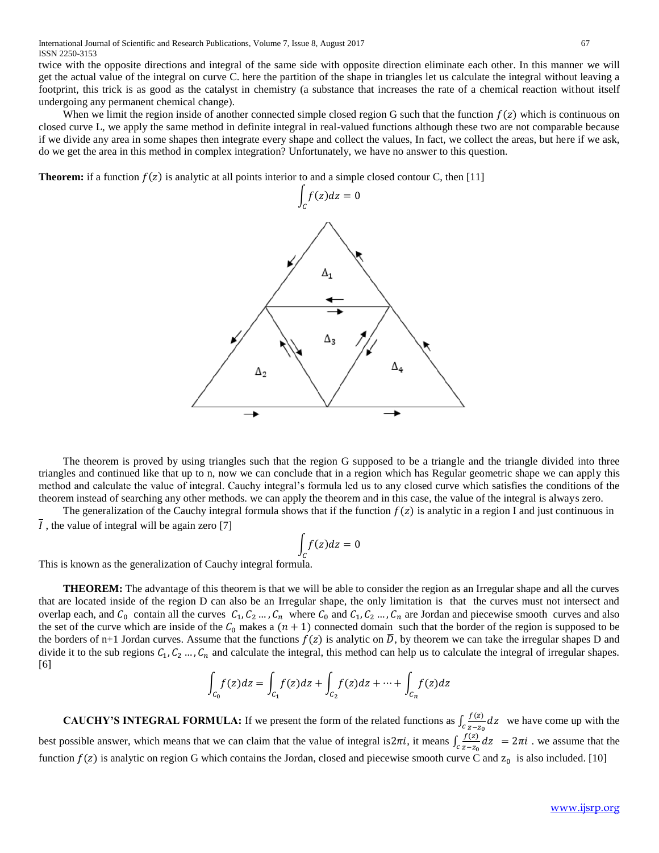twice with the opposite directions and integral of the same side with opposite direction eliminate each other. In this manner we will get the actual value of the integral on curve C. here the partition of the shape in triangles let us calculate the integral without leaving a footprint, this trick is as good as the catalyst in chemistry (a substance that increases the rate of a chemical reaction without itself undergoing any permanent chemical change).

When we limit the region inside of another connected simple closed region G such that the function  $f(z)$  which is continuous on closed curve L, we apply the same method in definite integral in real-valued functions although these two are not comparable because if we divide any area in some shapes then integrate every shape and collect the values, In fact, we collect the areas, but here if we ask, do we get the area in this method in complex integration? Unfortunately, we have no answer to this question.

**Theorem:** if a function  $f(z)$  is analytic at all points interior to and a simple closed contour C, then [11]



The theorem is proved by using triangles such that the region G supposed to be a triangle and the triangle divided into three triangles and continued like that up to n, now we can conclude that in a region which has Regular geometric shape we can apply this method and calculate the value of integral. Cauchy integral's formula led us to any closed curve which satisfies the conditions of the theorem instead of searching any other methods. we can apply the theorem and in this case, the value of the integral is always zero.

The generalization of the Cauchy integral formula shows that if the function  $f(z)$  is analytic in a region I and just continuous in I, the value of integral will be again zero [7]

$$
\int_C f(z)dz = 0
$$

This is known as the generalization of Cauchy integral formula.

 **THEOREM:** The advantage of this theorem is that we will be able to consider the region as an Irregular shape and all the curves that are located inside of the region D can also be an Irregular shape, the only limitation is that the curves must not intersect and overlap each, and  $C_0$  contain all the curves  $C_1, C_2, \ldots, C_n$  where  $C_0$  and  $C_1, C_2, \ldots, C_n$  are Jordan and piecewise smooth curves and also the set of the curve which are inside of the  $C_0$  makes a  $(n + 1)$  connected domain such that the border of the region is supposed to be the borders of n+1 Jordan curves. Assume that the functions  $f(z)$  is analytic on  $\overline{D}$ , by theorem we can take the irregular shapes D and divide it to the sub regions  $C_1, C_2, ..., C_n$  and calculate the integral, this method can help us to calculate the integral of irregular shapes. [6]

$$
\int_{C_0} f(z)dz = \int_{C_1} f(z)dz + \int_{C_2} f(z)dz + \dots + \int_{C_n} f(z)dz
$$

**CAUCHY'S INTEGRAL FORMULA:** If we present the form of the related functions as  $\int_{c} \frac{f(z)}{z-z}$  $\int_{c}^{c} \frac{f(z)}{z-z_0} dz$  we have come up with the best possible answer, which means that we can claim that the value of integral is  $2\pi i$ , it means  $\int_{c} \frac{f(z)}{z}$  $\int_{c}^{1} \frac{f(z)}{z-z_0} dz = 2\pi i$ . we assume that the function  $f(z)$  is analytic on region G which contains the Jordan, closed and piecewise smooth curve C and  $z_0$  is also included. [10]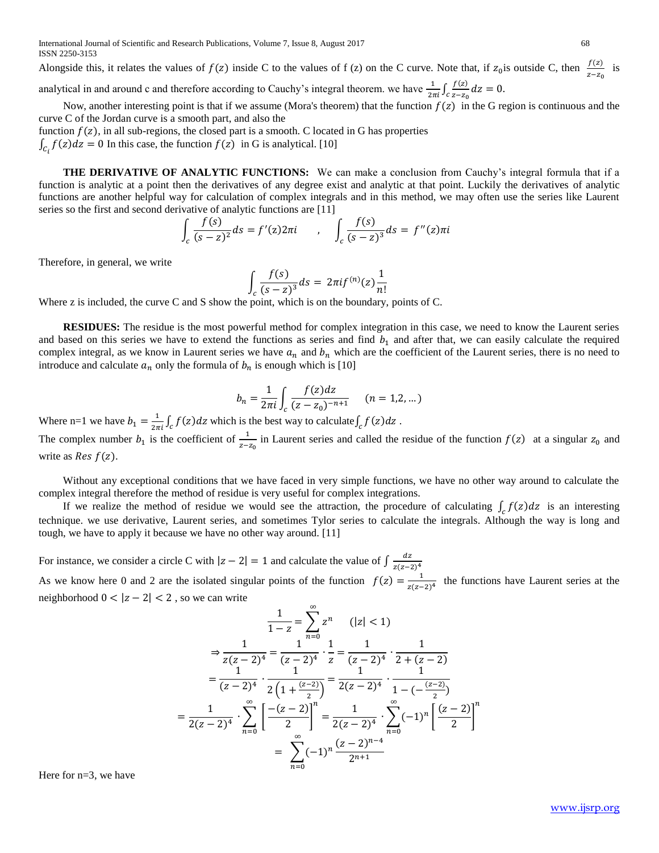International Journal of Scientific and Research Publications, Volume 7, Issue 8, August 2017 68 ISSN 2250-3153

Alongside this, it relates the values of  $f(z)$  inside C to the values of f (z) on the C curve. Note that, if  $z_0$  is outside C, then  $\frac{f(z)}{z-z_0}$  is analytical in and around c and therefore according to Cauchy's integral theorem. we have  $\frac{1}{2\pi i} \int_c \frac{f(z)}{z-z_0}$  $\int_{c}^{\frac{f(z)}{z-z_0}} dz = 0.$ 

Now, another interesting point is that if we assume (Mora's theorem) that the function  $f(z)$  in the G region is continuous and the curve C of the Jordan curve is a smooth part, and also the

function  $f(z)$ , in all sub-regions, the closed part is a smooth. C located in G has properties

 $\int_{C_i} f(z) dz = 0$  In this case, the function  $f(z)$  in G is analytical. [10]

 **THE DERIVATIVE OF ANALYTIC FUNCTIONS:** We can make a conclusion from Cauchy's integral formula that if a function is analytic at a point then the derivatives of any degree exist and analytic at that point. Luckily the derivatives of analytic functions are another helpful way for calculation of complex integrals and in this method, we may often use the series like Laurent series so the first and second derivative of analytic functions are [11]

$$
\int_{c} \frac{f(s)}{(s-z)^2} ds = f'(z) 2\pi i \qquad , \quad \int_{c} \frac{f(s)}{(s-z)^3} ds = f''(z) \pi i
$$

Therefore, in general, we write

$$
\int_{c} \frac{f(s)}{(s-z)^{3}} ds = 2\pi i f^{(n)}(z) \frac{1}{n!}
$$

Where z is included, the curve C and S show the point, which is on the boundary, points of C.

**RESIDUES:** The residue is the most powerful method for complex integration in this case, we need to know the Laurent series and based on this series we have to extend the functions as series and find  $b<sub>1</sub>$  and after that, we can easily calculate the required complex integral, as we know in Laurent series we have  $a_n$  and  $b_n$  which are the coefficient of the Laurent series, there is no need to introduce and calculate  $a_n$  only the formula of  $b_n$  is enough which is [10]

$$
b_n = \frac{1}{2\pi i} \int_c \frac{f(z)dz}{(z - z_0)^{-n+1}} \qquad (n = 1, 2, \dots)
$$

Where n=1 we have  $b_1 = \frac{1}{2\pi i} \int_c f(z) dz$  which is the best way to calculate  $\int_c f(z) dz$ .

The complex number  $b_1$  is the coefficient of  $\frac{1}{z-z_0}$  in Laurent series and called the residue of the function  $f(z)$  at a singular  $z_0$  and write as *Res*  $f(z)$ .

Without any exceptional conditions that we have faced in very simple functions, we have no other way around to calculate the complex integral therefore the method of residue is very useful for complex integrations.

If we realize the method of residue we would see the attraction, the procedure of calculating  $\int_c f(z) dz$  is an interesting technique. we use derivative, Laurent series, and sometimes Tylor series to calculate the integrals. Although the way is long and tough, we have to apply it because we have no other way around. [11]

For instance, we consider a circle C with  $|z - 2| = 1$  and calculate the value of  $\int \frac{dz}{z(z)}$  $z(z-2)^4$ As we know here 0 and 2 are the isolated singular points of the function  $f(z) = \frac{1}{z(z)}$  $\frac{1}{z(z-2)^4}$  the functions have Laurent series at the neighborhood  $0 < |z - 2| < 2$ , so we can write

$$
\frac{1}{1-z} = \sum_{n=0}^{\infty} z^n \qquad (|z| < 1)
$$
\n
$$
\Rightarrow \frac{1}{z(z-2)^4} = \frac{1}{(z-2)^4} \cdot \frac{1}{z} = \frac{1}{(z-2)^4} \cdot \frac{1}{2 + (z-2)}
$$
\n
$$
= \frac{1}{(z-2)^4} \cdot \frac{1}{2\left(1 + \frac{(z-2)}{2}\right)} = \frac{1}{2(z-2)^4} \cdot \frac{1}{1 - \left(-\frac{(z-2)}{2}\right)}
$$
\n
$$
= \frac{1}{2(z-2)^4} \cdot \sum_{n=0}^{\infty} \left[\frac{-(z-2)}{2}\right]^n = \frac{1}{2(z-2)^4} \cdot \sum_{n=0}^{\infty} (-1)^n \left[\frac{(z-2)}{2}\right]^n
$$
\n
$$
= \sum_{n=0}^{\infty} (-1)^n \frac{(z-2)^{n-4}}{2^{n+1}}
$$

Here for n=3, we have